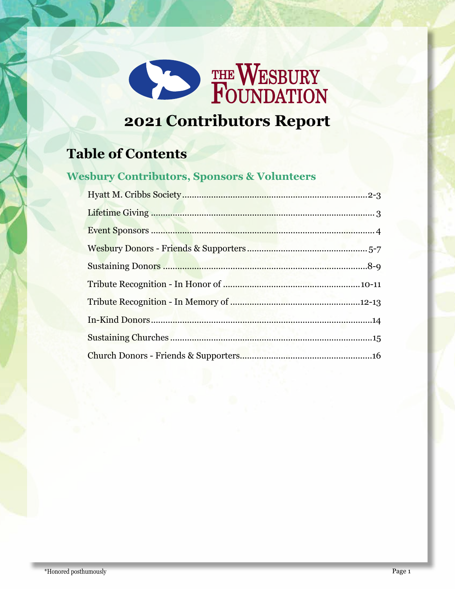

# **2021 Contributors Report**

# **Table of Contents**

### **Wesbury Contributors, Sponsors & Volunteers**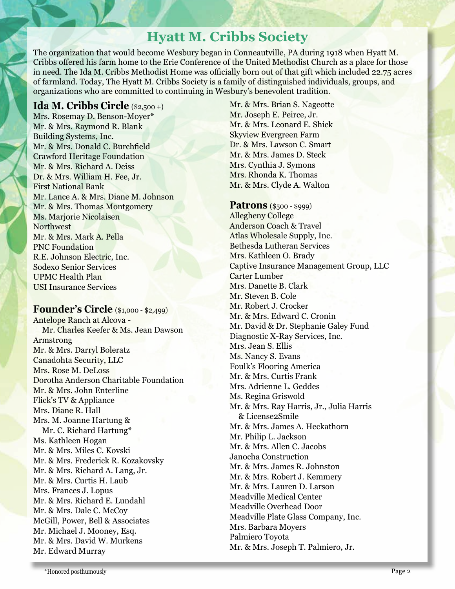## **Hyatt M. Cribbs Society**

The organization that would become Wesbury began in Conneautville, PA during 1918 when Hyatt M. Cribbs offered his farm home to the Erie Conference of the United Methodist Church as a place for those in need. The Ida M. Cribbs Methodist Home was officially born out of that gift which included 22.75 acres of farmland. Today, The Hyatt M. Cribbs Society is a family of distinguished individuals, groups, and organizations who are committed to continuing in Wesbury's benevolent tradition.

**Ida M. Cribbs Circle** (\$2,500 +) Mrs. Rosemay D. Benson-Moyer\* Mr. & Mrs. Raymond R. Blank Building Systems, Inc. Mr. & Mrs. Donald C. Burchfield Crawford Heritage Foundation Mr. & Mrs. Richard A. Deiss Dr. & Mrs. William H. Fee, Jr. First National Bank Mr. Lance A. & Mrs. Diane M. Johnson Mr. & Mrs. Thomas Montgomery Ms. Marjorie Nicolaisen Northwest Mr. & Mrs. Mark A. Pella PNC Foundation R.E. Johnson Electric, Inc. Sodexo Senior Services UPMC Health Plan USI Insurance Services

### **Founder's Circle** (\$1,000 - \$2,499)

Antelope Ranch at Alcova - Mr. Charles Keefer & Ms. Jean Dawson Armstrong Mr. & Mrs. Darryl Boleratz Canadohta Security, LLC Mrs. Rose M. DeLoss Dorotha Anderson Charitable Foundation Mr. & Mrs. John Enterline Flick's TV & Appliance Mrs. Diane R. Hall Mrs. M. Joanne Hartung & Mr. C. Richard Hartung\* Ms. Kathleen Hogan Mr. & Mrs. Miles C. Kovski Mr. & Mrs. Frederick R. Kozakovsky Mr. & Mrs. Richard A. Lang, Jr. Mr. & Mrs. Curtis H. Laub Mrs. Frances J. Lopus Mr. & Mrs. Richard E. Lundahl Mr. & Mrs. Dale C. McCoy McGill, Power, Bell & Associates Mr. Michael J. Mooney, Esq. Mr. & Mrs. David W. Murkens Mr. Edward Murray

Mr. & Mrs. Brian S. Nageotte Mr. Joseph E. Peirce, Jr. Mr. & Mrs. Leonard E. Shick Skyview Evergreen Farm Dr. & Mrs. Lawson C. Smart Mr. & Mrs. James D. Steck Mrs. Cynthia J. Symons Mrs. Rhonda K. Thomas Mr. & Mrs. Clyde A. Walton

**Patrons** (\$500 - \$999) Allegheny College Anderson Coach & Travel Atlas Wholesale Supply, Inc. Bethesda Lutheran Services Mrs. Kathleen O. Brady Captive Insurance Management Group, LLC Carter Lumber Mrs. Danette B. Clark Mr. Steven B. Cole Mr. Robert J. Crocker Mr. & Mrs. Edward C. Cronin Mr. David & Dr. Stephanie Galey Fund Diagnostic X-Ray Services, Inc. Mrs. Jean S. Ellis Ms. Nancy S. Evans Foulk's Flooring America Mr. & Mrs. Curtis Frank Mrs. Adrienne L. Geddes Ms. Regina Griswold Mr. & Mrs. Ray Harris, Jr., Julia Harris & License2Smile Mr. & Mrs. James A. Heckathorn Mr. Philip L. Jackson Mr. & Mrs. Allen C. Jacobs Janocha Construction Mr. & Mrs. James R. Johnston Mr. & Mrs. Robert J. Kemmery Mr. & Mrs. Lauren D. Larson Meadville Medical Center Meadville Overhead Door Meadville Plate Glass Company, Inc. Mrs. Barbara Moyers Palmiero Toyota Mr. & Mrs. Joseph T. Palmiero, Jr.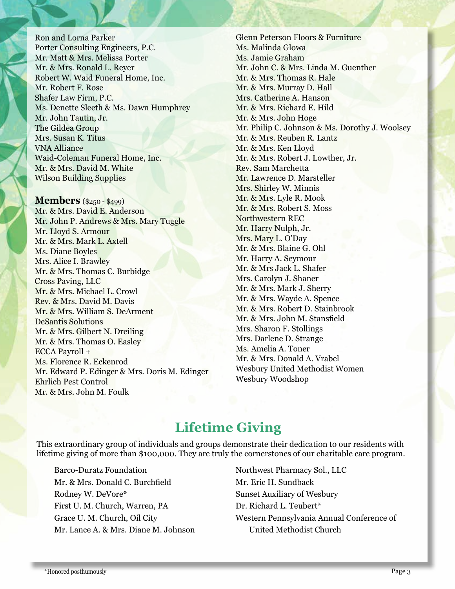Ron and Lorna Parker Porter Consulting Engineers, P.C. Mr. Matt & Mrs. Melissa Porter Mr. & Mrs. Ronald L. Reyer Robert W. Waid Funeral Home, Inc. Mr. Robert F. Rose Shafer Law Firm, P.C. Ms. Denette Sleeth & Ms. Dawn Humphrey Mr. John Tautin, Jr. The Gildea Group Mrs. Susan K. Titus VNA Alliance Waid-Coleman Funeral Home, Inc. Mr. & Mrs. David M. White Wilson Building Supplies

**Members** (\$250 - \$499) Mr. & Mrs. David E. Anderson Mr. John P. Andrews & Mrs. Mary Tuggle Mr. Lloyd S. Armour Mr. & Mrs. Mark L. Axtell Ms. Diane Boyles Mrs. Alice I. Brawley Mr. & Mrs. Thomas C. Burbidge Cross Paving, LLC Mr. & Mrs. Michael L. Crowl Rev. & Mrs. David M. Davis Mr. & Mrs. William S. DeArment DeSantis Solutions Mr. & Mrs. Gilbert N. Dreiling Mr. & Mrs. Thomas O. Easley ECCA Payroll + Ms. Florence R. Eckenrod Mr. Edward P. Edinger & Mrs. Doris M. Edinger Ehrlich Pest Control Mr. & Mrs. John M. Foulk

Glenn Peterson Floors & Furniture Ms. Malinda Glowa Ms. Jamie Graham Mr. John C. & Mrs. Linda M. Guenther Mr. & Mrs. Thomas R. Hale Mr. & Mrs. Murray D. Hall Mrs. Catherine A. Hanson Mr. & Mrs. Richard E. Hild Mr. & Mrs. John Hoge Mr. Philip C. Johnson & Ms. Dorothy J. Woolsey Mr. & Mrs. Reuben R. Lantz Mr. & Mrs. Ken Lloyd Mr. & Mrs. Robert J. Lowther, Jr. Rev. Sam Marchetta Mr. Lawrence D. Marsteller Mrs. Shirley W. Minnis Mr. & Mrs. Lyle R. Mook Mr. & Mrs. Robert S. Moss Northwestern REC Mr. Harry Nulph, Jr. Mrs. Mary L. O'Day Mr. & Mrs. Blaine G. Ohl Mr. Harry A. Seymour Mr. & Mrs Jack L. Shafer Mrs. Carolyn J. Shaner Mr. & Mrs. Mark J. Sherry Mr. & Mrs. Wayde A. Spence Mr. & Mrs. Robert D. Stainbrook Mr. & Mrs. John M. Stansfield Mrs. Sharon F. Stollings Mrs. Darlene D. Strange Ms. Amelia A. Toner Mr. & Mrs. Donald A. Vrabel Wesbury United Methodist Women Wesbury Woodshop

## **Lifetime Giving**

This extraordinary group of individuals and groups demonstrate their dedication to our residents with lifetime giving of more than \$100,000. They are truly the cornerstones of our charitable care program.

Barco-Duratz Foundation Mr. & Mrs. Donald C. Burchfield Rodney W. DeVore\* First U. M. Church, Warren, PA Grace U. M. Church, Oil City Mr. Lance A. & Mrs. Diane M. Johnson Northwest Pharmacy Sol., LLC Mr. Eric H. Sundback Sunset Auxiliary of Wesbury Dr. Richard L. Teubert\* Western Pennsylvania Annual Conference of United Methodist Church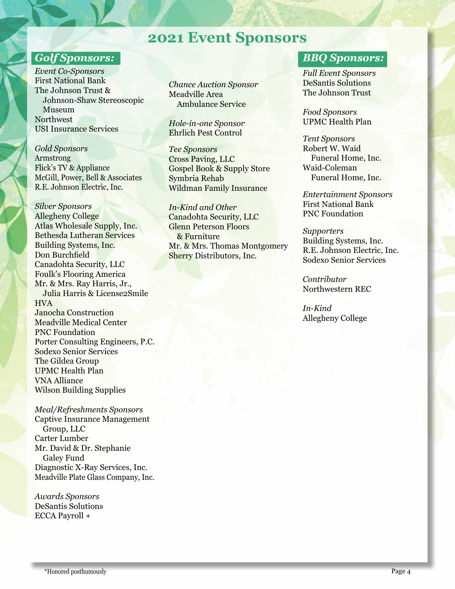### **2021 Event Sponsors**

### *Golf Sponsors:*

*Event Co-Sponsors* First National Bank The Johnson Trust & Johnson-Shaw Stereoscopic Museum **Northwest** USI Insurance Services

*Gold Sponsors* Armstrong Flick's TV & Appliance McGill, Power, Bell & Associates R.E. Johnson Electric, Inc.

*Silver Sponsors* Allegheny College Atlas Wholesale Supply, Inc. Bethesda Lutheran Services Building Systems, Inc. Don Burchfield Canadohta Security, LLC Foulk's Flooring America Mr. & Mrs. Ray Harris, Jr., Julia Harris & License2Smile **HVA** Janocha Construction Meadville Medical Center PNC Foundation Porter Consulting Engineers, P.C. Sodexo Senior Services The Gildea Group UPMC Health Plan VNA Alliance Wilson Building Supplies

*Meal/Refreshments Sponsors* Captive Insurance Management Group, LLC Carter Lumber Mr. David & Dr. Stephanie Galey Fund Diagnostic X-Ray Services, Inc. Meadville Plate Glass Company, Inc.

*Awards Sponsors* DeSantis Solutions ECCA Payroll +

*Chance Auction Sponsor* Meadville Area Ambulance Service

*Hole-in-one Sponsor* Ehrlich Pest Control

*Tee Sponsors* Cross Paving, LLC Gospel Book & Supply Store Symbria Rehab Wildman Family Insurance

*In-Kind and Other* Canadohta Security, LLC Glenn Peterson Floors & Furniture Mr. & Mrs. Thomas Montgomery Sherry Distributors, Inc.

### *BBQ Sponsors:*

*Full Event Sponsors* DeSantis Solutions The Johnson Trust

*Food Sponsors* UPMC Health Plan

*Tent Sponsors* Robert W. Waid Funeral Home, Inc. Waid-Coleman Funeral Home, Inc.

*Entertainment Sponsors* First National Bank PNC Foundation

*Supporters* Building Systems, Inc. R.E. Johnson Electric, Inc. Sodexo Senior Services

*Contributor* Northwestern REC

*In-Kind* Allegheny College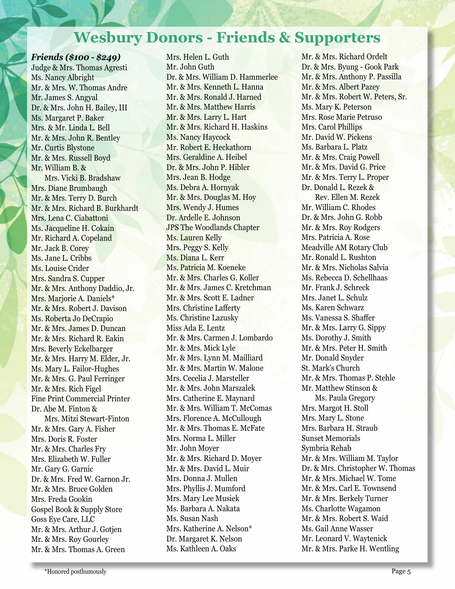# **Wesbury Donors - Friends & Supporters**

#### *Friends (\$100 - \$249)*

Judge & Mrs. Thomas Agresti Ms. Nancy Albright Mr. & Mrs. W. Thomas Andre Mr. James S. Angyal Dr. & Mrs. John H. Bailey, III Ms. Margaret P. Baker Mrs. & Mr. Linda L. Bell Mr. & Mrs. John R. Bentley Mr. Curtis Blystone Mr. & Mrs. Russell Boyd Mr. William B. &

Mrs. Vicki B. Bradshaw Mrs. Diane Brumbaugh Mr. & Mrs. Terry D. Burch Mr. & Mrs. Richard B. Burkhardt Mrs. Lena C. Ciabattoni Ms. Jacqueline H. Cokain Mr. Richard A. Copeland Mr. Jack B. Corey Ms. Jane L. Cribbs Ms. Louise Crider Mrs. Sandra S. Cupper Mr. & Mrs. Anthony Daddio, Jr. Mrs. Marjorie A. Daniels\* Mr. & Mrs. Robert J. Davison Ms. Roberta Jo DeCrapio Mr. & Mrs. James D. Duncan Mr. & Mrs. Richard R. Eakin Mrs. Beverly Eckelbarger Mr. & Mrs. Harry M. Elder, Jr. Ms. Mary L. Failor-Hughes Mr. & Mrs. G. Paul Ferringer Mr. & Mrs. Rich Figel Fine Print Commercial Printer Dr. Abe M. Finton &

Mrs. Mitzi Stewart-Finton Mr. & Mrs. Gary A. Fisher Mrs. Doris R. Foster Mr. & Mrs. Charles Fry Mrs. Elizabeth W. Fuller Mr. Gary G. Garnic Dr. & Mrs. Fred W. Garnon Jr. Mr. & Mrs. Bruce Golden Mrs. Freda Gookin Gospel Book & Supply Store Goss Eye Care, LLC Mr. & Mrs. Arthur J. Gotjen Mr. & Mrs. Roy Gourley Mr. & Mrs. Thomas A. Green

Mrs. Helen L. Guth Mr. John Guth Dr. & Mrs. William D. Hammerlee Mr. & Mrs. Kenneth L. Hanna Mr. & Mrs. Ronald J. Harned Mr. & Mrs. Matthew Harris Mr. & Mrs. Larry L. Hart Mr. & Mrs. Richard H. Haskins Ms. Nancy Haycock Mr. Robert E. Heckathorn Mrs. Geraldine A. Heibel Dr. & Mrs. John P. Hibler Mrs. Jean B. Hodge Ms. Debra A. Hornyak Mr. & Mrs. Douglas M. Hoy Mrs. Wendy J. Humes Dr. Ardelle E. Johnson JPS The Woodlands Chapter Ms. Lauren Kelly Mrs. Peggy S. Kelly Ms. Diana L. Kerr Ms. Patricia M. Koeneke Mr. & Mrs. Charles G. Koller Mr. & Mrs. James C. Kretchman Mr. & Mrs. Scott E. Ladner Mrs. Christine Lafferty Ms. Christine Lazusky Miss Ada E. Lentz Mr. & Mrs. Carmen J. Lombardo Mr. & Mrs. Mick Lyle Mr. & Mrs. Lynn M. Mailliard Mr. & Mrs. Martin W. Malone Mrs. Cecelia J. Marsteller Mr. & Mrs. John Marszalek Mrs. Catherine E. Maynard Mr. & Mrs. William T. McComas Mrs. Florence A. McCullough Mr. & Mrs. Thomas E. McFate Mrs. Norma L. Miller Mr. John Moyer Mr. & Mrs. Richard D. Moyer Mr. & Mrs. David L. Muir Mrs. Donna J. Mullen Mrs. Phyllis J. Mumford Mrs. Mary Lee Musiek Ms. Barbara A. Nakata Ms. Susan Nash Mrs. Katherine A. Nelson\* Dr. Margaret K. Nelson Ms. Kathleen A. Oaks

Mr. & Mrs. Richard Ordelt Dr. & Mrs. Byung - Gook Park Mr. & Mrs. Anthony P. Passilla Mr. & Mrs. Albert Pazey Mr. & Mrs. Robert W. Peters, Sr. Ms. Mary K. Peterson Mrs. Rose Marie Petruso Mrs. Carol Phillips Mr. David W. Pickens Ms. Barbara L. Platz Mr. & Mrs. Craig Powell Mr. & Mrs. David G. Price Mr. & Mrs. Terry L. Proper Dr. Donald L. Rezek & Rev. Ellen M. Rezek Mr. William C. Rhodes Dr. & Mrs. John G. Robb Mr. & Mrs. Roy Rodgers Mrs. Patricia A. Rose Meadville AM Rotary Club Mr. Ronald L. Rushton Mr. & Mrs. Nicholas Salvia Ms. Rebecca D. Schellhaas Mr. Frank J. Schreck Mrs. Janet L. Schulz Ms. Karen Schwarz Ms. Vanessa S. Shaffer Mr. & Mrs. Larry G. Sippy Ms. Dorothy J. Smith Mr. & Mrs. Peter H. Smith Mr. Donald Snyder St. Mark's Church Mr. & Mrs. Thomas P. Stehle Mr. Matthew Stinson & Ms. Paula Gregory Mrs. Margot H. Stoll Mrs. Mary L. Stone Mrs. Barbara H. Straub Sunset Memorials Symbria Rehab Mr. & Mrs. William M. Taylor Dr. & Mrs. Christopher W. Thomas Mr. & Mrs. Michael W. Tome Mr. & Mrs. Carl E. Townsend Mr. & Mrs. Berkely Turner Ms. Charlotte Wagamon Mr. & Mrs. Robert S. Waid Ms. Gail Anne Wasser Mr. Leonard V. Waytenick Mr. & Mrs. Parke H. Wentling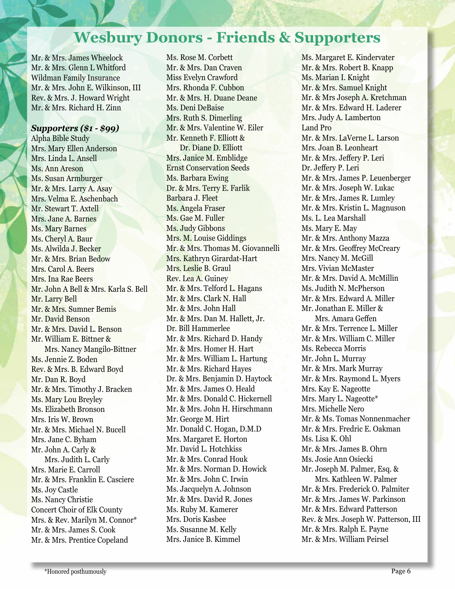# **Wesbury Donors - Friends & Supporters**

Mr. & Mrs. James Wheelock Mr. & Mrs. Glenn L Whitford Wildman Family Insurance Mr. & Mrs. John E. Wilkinson, III Rev. & Mrs. J. Howard Wright Mr. & Mrs. Richard H. Zinn

#### *Supporters (\$1 - \$99)*

Alpha Bible Study Mrs. Mary Ellen Anderson Mrs. Linda L. Ansell Ms. Ann Areson Ms. Susan Armburger Mr. & Mrs. Larry A. Asay Mrs. Velma E. Aschenbach Mr. Stewart T. Axtell Mrs. Jane A. Barnes Ms. Mary Barnes Ms. Cheryl A. Baur Ms. Alwilda J. Becker Mr. & Mrs. Brian Bedow Mrs. Carol A. Beers Mrs. Ina Rae Beers Mr. John A Bell & Mrs. Karla S. Bell Mr. Larry Bell Mr. & Mrs. Sumner Bemis Mr. David Benson Mr. & Mrs. David L. Benson Mr. William E. Bittner & Mrs. Nancy Mangilo-Bittner Ms. Jennie Z. Boden Rev. & Mrs. B. Edward Boyd Mr. Dan R. Boyd Mr. & Mrs. Timothy J. Bracken Ms. Mary Lou Breyley Ms. Elizabeth Bronson Mrs. Iris W. Brown Mr. & Mrs. Michael N. Bucell Mrs. Jane C. Byham Mr. John A. Carly & Mrs. Judith L. Carly Mrs. Marie E. Carroll Mr. & Mrs. Franklin E. Casciere

Ms. Joy Castle Ms. Nancy Christie Concert Choir of Elk County Mrs. & Rev. Marilyn M. Connor\* Mr. & Mrs. James S. Cook Mr. & Mrs. Prentice Copeland

Ms. Rose M. Corbett Mr. & Mrs. Dan Craven Miss Evelyn Crawford Mrs. Rhonda F. Cubbon Mr. & Mrs. H. Duane Deane Ms. Deni DeBaise Mrs. Ruth S. Dimerling Mr. & Mrs. Valentine W. Eiler Mr. Kenneth F. Elliott & Dr. Diane D. Elliott Mrs. Janice M. Emblidge Ernst Conservation Seeds Ms. Barbara Ewing Dr. & Mrs. Terry E. Farlik Barbara J. Fleet Ms. Angela Fraser Ms. Gae M. Fuller Ms. Judy Gibbons Mrs. M. Louise Giddings Mr. & Mrs. Thomas M. Giovannelli Mrs. Kathryn Girardat-Hart Mrs. Leslie B. Graul Rev. Lea A. Guiney Mr. & Mrs. Telford L. Hagans Mr. & Mrs. Clark N. Hall Mr. & Mrs. John Hall Mr. & Mrs. Dan M. Hallett, Jr. Dr. Bill Hammerlee Mr. & Mrs. Richard D. Handy Mr. & Mrs. Homer H. Hart Mr. & Mrs. William L. Hartung Mr. & Mrs. Richard Hayes Dr. & Mrs. Benjamin D. Haytock Mr. & Mrs. James O. Heald Mr. & Mrs. Donald C. Hickernell Mr. & Mrs. John H. Hirschmann Mr. George M. Hirt Mr. Donald C. Hogan, D.M.D Mrs. Margaret E. Horton Mr. David L. Hotchkiss Mr. & Mrs. Conrad Houk Mr. & Mrs. Norman D. Howick Mr. & Mrs. John C. Irwin Ms. Jacquelyn A. Johnson Mr. & Mrs. David R. Jones Ms. Ruby M. Kamerer Mrs. Doris Kasbee Ms. Susanne M. Kelly Mrs. Janice B. Kimmel

Ms. Margaret E. Kindervater Mr. & Mrs. Robert B. Knapp Ms. Marian I. Knight Mr. & Mrs. Samuel Knight Mr. & Mrs Joseph A. Kretchman Mr. & Mrs. Edward H. Laderer Mrs. Judy A. Lamberton Land Pro Mr. & Mrs. LaVerne L. Larson Mrs. Joan B. Leonheart Mr. & Mrs. Jeffery P. Leri Dr. Jeffery P. Leri Mr. & Mrs. James P. Leuenberger Mr. & Mrs. Joseph W. Lukac Mr. & Mrs. James R. Lumley Mr. & Mrs. Kristin L. Magnuson Ms. L. Lea Marshall Ms. Mary E. May Mr. & Mrs. Anthony Mazza Mr. & Mrs. Geoffrey McCreary Mrs. Nancy M. McGill Mrs. Vivian McMaster Mr. & Mrs. David A. McMillin Ms. Judith N. McPherson Mr. & Mrs. Edward A. Miller Mr. Jonathan E. Miller & Mrs. Amara Geffen Mr. & Mrs. Terrence L. Miller Mr. & Mrs. William C. Miller Ms. Rebecca Morris Mr. John L. Murray Mr. & Mrs. Mark Murray Mr. & Mrs. Raymond L. Myers Mrs. Kay E. Nageotte Mrs. Mary L. Nageotte\* Mrs. Michelle Nero Mr. & Ms. Tomas Nonnenmacher Mr. & Mrs. Fredric E. Oakman Ms. Lisa K. Ohl Mr. & Mrs. James B. Ohrn Ms. Josie Ann Osiecki Mr. Joseph M. Palmer, Esq. & Mrs. Kathleen W. Palmer Mr. & Mrs. Frederick O. Palmiter Mr. & Mrs. James W. Parkinson Mr. & Mrs. Edward Patterson Rev. & Mrs. Joseph W. Patterson, III Mr. & Mrs. Ralph E. Payne Mr. & Mrs. William Peirsel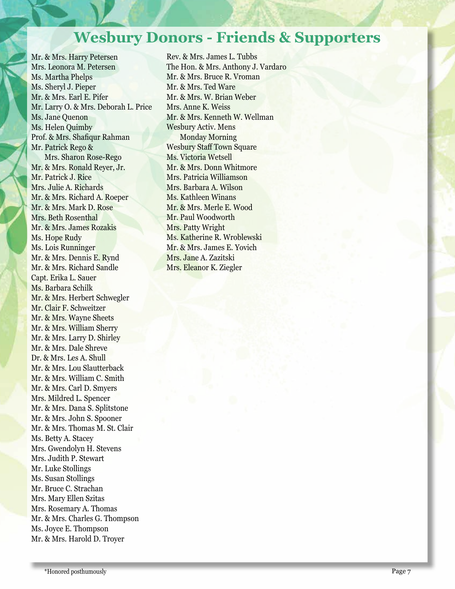# **Wesbury Donors - Friends & Supporters**

Mr. & Mrs. Harry Petersen Mrs. Leonora M. Petersen Ms. Martha Phelps Ms. Sheryl J. Pieper Mr. & Mrs. Earl E. Pifer Mr. Larry O. & Mrs. Deborah L. Price Ms. Jane Quenon Ms. Helen Quimby Prof. & Mrs. Shafiqur Rahman Mr. Patrick Rego & Mrs. Sharon Rose-Rego Mr. & Mrs. Ronald Reyer, Jr. Mr. Patrick J. Rice Mrs. Julie A. Richards Mr. & Mrs. Richard A. Roeper Mr. & Mrs. Mark D. Rose Mrs. Beth Rosenthal Mr. & Mrs. James Rozakis Ms. Hope Rudy Ms. Lois Runninger Mr. & Mrs. Dennis E. Rynd Mr. & Mrs. Richard Sandle Capt. Erika L. Sauer Ms. Barbara Schilk Mr. & Mrs. Herbert Schwegler Mr. Clair F. Schweitzer Mr. & Mrs. Wayne Sheets Mr. & Mrs. William Sherry Mr. & Mrs. Larry D. Shirley Mr. & Mrs. Dale Shreve Dr. & Mrs. Les A. Shull Mr. & Mrs. Lou Slautterback Mr. & Mrs. William C. Smith Mr. & Mrs. Carl D. Smyers Mrs. Mildred L. Spencer Mr. & Mrs. Dana S. Splitstone Mr. & Mrs. John S. Spooner Mr. & Mrs. Thomas M. St. Clair Ms. Betty A. Stacey Mrs. Gwendolyn H. Stevens Mrs. Judith P. Stewart Mr. Luke Stollings Ms. Susan Stollings Mr. Bruce C. Strachan Mrs. Mary Ellen Szitas Mrs. Rosemary A. Thomas Mr. & Mrs. Charles G. Thompson Ms. Joyce E. Thompson Mr. & Mrs. Harold D. Troyer

Rev. & Mrs. James L. Tubbs The Hon. & Mrs. Anthony J. Vardaro Mr. & Mrs. Bruce R. Vroman Mr. & Mrs. Ted Ware Mr. & Mrs. W. Brian Weber Mrs. Anne K. Weiss Mr. & Mrs. Kenneth W. Wellman Wesbury Activ. Mens Monday Morning Wesbury Staff Town Square Ms. Victoria Wetsell Mr. & Mrs. Donn Whitmore Mrs. Patricia Williamson Mrs. Barbara A. Wilson Ms. Kathleen Winans Mr. & Mrs. Merle E. Wood Mr. Paul Woodworth Mrs. Patty Wright Ms. Katherine R. Wroblewski Mr. & Mrs. James E. Yovich Mrs. Jane A. Zazitski Mrs. Eleanor K. Ziegler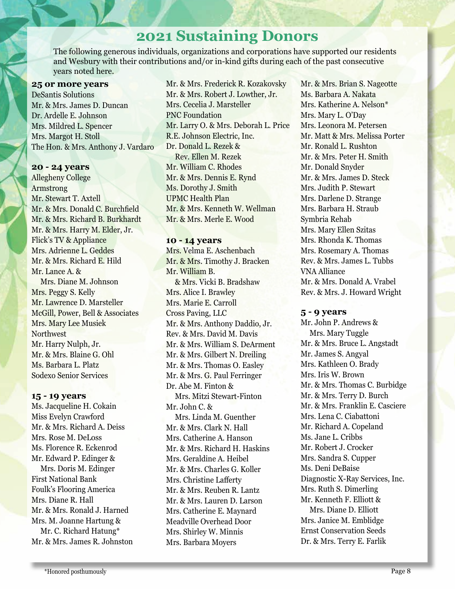# **2021 Sustaining Donors**

The following generous individuals, organizations and corporations have supported our residents and Wesbury with their contributions and/or in-kind gifts during each of the past consecutive years noted here.

#### **25 or more years**

DeSantis Solutions Mr. & Mrs. James D. Duncan Dr. Ardelle E. Johnson Mrs. Mildred L. Spencer Mrs. Margot H. Stoll The Hon. & Mrs. Anthony J. Vardaro

#### **20 - 24 years**

Allegheny College Armstrong Mr. Stewart T. Axtell Mr. & Mrs. Donald C. Burchfield Mr. & Mrs. Richard B. Burkhardt Mr. & Mrs. Harry M. Elder, Jr. Flick's TV & Appliance Mrs. Adrienne L. Geddes Mr. & Mrs. Richard E. Hild Mr. Lance A. & Mrs. Diane M. Johnson Mrs. Peggy S. Kelly Mr. Lawrence D. Marsteller McGill, Power, Bell & Associates Mrs. Mary Lee Musiek **Northwest** Mr. Harry Nulph, Jr. Mr. & Mrs. Blaine G. Ohl Ms. Barbara L. Platz Sodexo Senior Services

#### **15 - 19 years**

Ms. Jacqueline H. Cokain Miss Evelyn Crawford Mr. & Mrs. Richard A. Deiss Mrs. Rose M. DeLoss Ms. Florence R. Eckenrod Mr. Edward P. Edinger & Mrs. Doris M. Edinger First National Bank Foulk's Flooring America Mrs. Diane R. Hall Mr. & Mrs. Ronald J. Harned Mrs. M. Joanne Hartung & Mr. C. Richard Hatung\*

Mr. & Mrs. James R. Johnston

Mr. & Mrs. Frederick R. Kozakovsky Mr. & Mrs. Robert J. Lowther, Jr. Mrs. Cecelia J. Marsteller PNC Foundation Mr. Larry O. & Mrs. Deborah L. Price R.E. Johnson Electric, Inc. Dr. Donald L. Rezek & Rev. Ellen M. Rezek Mr. William C. Rhodes Mr. & Mrs. Dennis E. Rynd Ms. Dorothy J. Smith UPMC Health Plan Mr. & Mrs. Kenneth W. Wellman Mr. & Mrs. Merle E. Wood

#### **10 - 14 years**

Mrs. Velma E. Aschenbach Mr. & Mrs. Timothy J. Bracken Mr. William B. & Mrs. Vicki B. Bradshaw Mrs. Alice I. Brawley Mrs. Marie E. Carroll Cross Paving, LLC Mr. & Mrs. Anthony Daddio, Jr. Rev. & Mrs. David M. Davis Mr. & Mrs. William S. DeArment Mr. & Mrs. Gilbert N. Dreiling Mr. & Mrs. Thomas O. Easley Mr. & Mrs. G. Paul Ferringer Dr. Abe M. Finton & Mrs. Mitzi Stewart-Finton Mr. John C. & Mrs. Linda M. Guenther Mr. & Mrs. Clark N. Hall Mrs. Catherine A. Hanson Mr. & Mrs. Richard H. Haskins Mrs. Geraldine A. Heibel Mr. & Mrs. Charles G. Koller Mrs. Christine Lafferty Mr. & Mrs. Reuben R. Lantz Mr. & Mrs. Lauren D. Larson Mrs. Catherine E. Maynard Meadville Overhead Door Mrs. Shirley W. Minnis Mrs. Barbara Moyers

Mr. & Mrs. Brian S. Nageotte Ms. Barbara A. Nakata Mrs. Katherine A. Nelson\* Mrs. Mary L. O'Day Mrs. Leonora M. Petersen Mr. Matt & Mrs. Melissa Porter Mr. Ronald L. Rushton Mr. & Mrs. Peter H. Smith Mr. Donald Snyder Mr. & Mrs. James D. Steck Mrs. Judith P. Stewart Mrs. Darlene D. Strange Mrs. Barbara H. Straub Symbria Rehab Mrs. Mary Ellen Szitas Mrs. Rhonda K. Thomas Mrs. Rosemary A. Thomas Rev. & Mrs. James L. Tubbs VNA Alliance Mr. & Mrs. Donald A. Vrabel Rev. & Mrs. J. Howard Wright

#### **5 - 9 years**

Mr. John P. Andrews & Mrs. Mary Tuggle Mr. & Mrs. Bruce L. Angstadt Mr. James S. Angyal Mrs. Kathleen O. Brady Mrs. Iris W. Brown Mr. & Mrs. Thomas C. Burbidge Mr. & Mrs. Terry D. Burch Mr. & Mrs. Franklin E. Casciere Mrs. Lena C. Ciabattoni Mr. Richard A. Copeland Ms. Jane L. Cribbs Mr. Robert J. Crocker Mrs. Sandra S. Cupper Ms. Deni DeBaise Diagnostic X-Ray Services, Inc. Mrs. Ruth S. Dimerling Mr. Kenneth F. Elliott & Mrs. Diane D. Elliott Mrs. Janice M. Emblidge Ernst Conservation Seeds Dr. & Mrs. Terry E. Farlik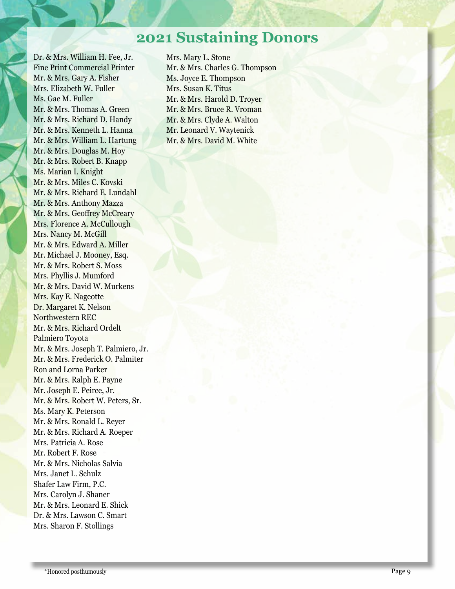## **2021 Sustaining Donors**

Dr. & Mrs. William H. Fee, Jr. Fine Print Commercial Printer Mr. & Mrs. Gary A. Fisher Mrs. Elizabeth W. Fuller Ms. Gae M. Fuller Mr. & Mrs. Thomas A. Green Mr. & Mrs. Richard D. Handy Mr. & Mrs. Kenneth L. Hanna Mr. & Mrs. William L. Hartung Mr. & Mrs. Douglas M. Hoy Mr. & Mrs. Robert B. Knapp Ms. Marian I. Knight Mr. & Mrs. Miles C. Kovski Mr. & Mrs. Richard E. Lundahl Mr. & Mrs. Anthony Mazza Mr. & Mrs. Geoffrey McCreary Mrs. Florence A. McCullough Mrs. Nancy M. McGill Mr. & Mrs. Edward A. Miller Mr. Michael J. Mooney, Esq. Mr. & Mrs. Robert S. Moss Mrs. Phyllis J. Mumford Mr. & Mrs. David W. Murkens Mrs. Kay E. Nageotte Dr. Margaret K. Nelson Northwestern REC Mr. & Mrs. Richard Ordelt Palmiero Toyota Mr. & Mrs. Joseph T. Palmiero, Jr. Mr. & Mrs. Frederick O. Palmiter Ron and Lorna Parker Mr. & Mrs. Ralph E. Payne Mr. Joseph E. Peirce, Jr. Mr. & Mrs. Robert W. Peters, Sr. Ms. Mary K. Peterson Mr. & Mrs. Ronald L. Reyer Mr. & Mrs. Richard A. Roeper Mrs. Patricia A. Rose Mr. Robert F. Rose Mr. & Mrs. Nicholas Salvia Mrs. Janet L. Schulz Shafer Law Firm, P.C. Mrs. Carolyn J. Shaner Mr. & Mrs. Leonard E. Shick Dr. & Mrs. Lawson C. Smart Mrs. Sharon F. Stollings

Mrs. Mary L. Stone Mr. & Mrs. Charles G. Thompson Ms. Joyce E. Thompson Mrs. Susan K. Titus Mr. & Mrs. Harold D. Troyer Mr. & Mrs. Bruce R. Vroman Mr. & Mrs. Clyde A. Walton Mr. Leonard V. Waytenick Mr. & Mrs. David M. White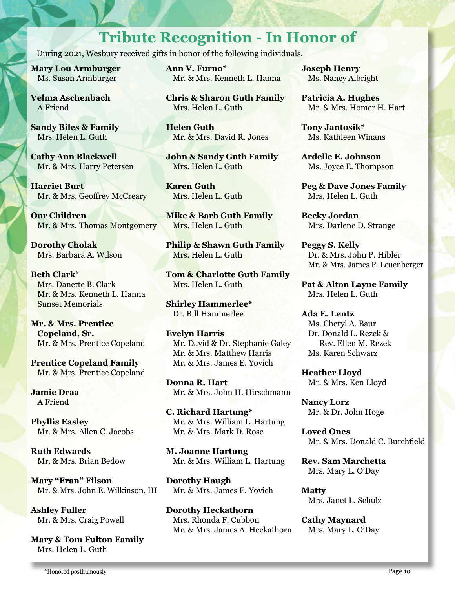# **Tribute Recognition - In Honor of**

During 2021, Wesbury received gifts in honor of the following individuals.

**Mary Lou Armburger** Ms. Susan Armburger

**Velma Aschenbach** A Friend

**Sandy Biles & Family** Mrs. Helen L. Guth

**Cathy Ann Blackwell** Mr. & Mrs. Harry Petersen

**Harriet Burt** Mr. & Mrs. Geoffrey McCreary

**Our Children** Mr. & Mrs. Thomas Montgomery

**Dorothy Cholak** Mrs. Barbara A. Wilson

**Beth Clark\*** Mrs. Danette B. Clark Mr. & Mrs. Kenneth L. Hanna Sunset Memorials

**Mr. & Mrs. Prentice Copeland, Sr.** Mr. & Mrs. Prentice Copeland

**Prentice Copeland Family** Mr. & Mrs. Prentice Copeland

**Jamie Draa** A Friend

**Phyllis Easley** Mr. & Mrs. Allen C. Jacobs

**Ruth Edwards** Mr. & Mrs. Brian Bedow

**Mary "Fran" Filson** Mr. & Mrs. John E. Wilkinson, III

**Ashley Fuller** Mr. & Mrs. Craig Powell

**Mary & Tom Fulton Family** Mrs. Helen L. Guth

**Ann V. Furno\*** Mr. & Mrs. Kenneth L. Hanna

**Chris & Sharon Guth Family** Mrs. Helen L. Guth

**Helen Guth** Mr. & Mrs. David R. Jones

**John & Sandy Guth Family** Mrs. Helen L. Guth

**Karen Guth** Mrs. Helen L. Guth

**Mike & Barb Guth Family** Mrs. Helen L. Guth

**Philip & Shawn Guth Family** Mrs. Helen L. Guth

**Tom & Charlotte Guth Family** Mrs. Helen L. Guth

**Shirley Hammerlee\*** Dr. Bill Hammerlee

**Evelyn Harris** Mr. David & Dr. Stephanie Galey Mr. & Mrs. Matthew Harris Mr. & Mrs. James E. Yovich

**Donna R. Hart** Mr. & Mrs. John H. Hirschmann

**C. Richard Hartung\*** Mr. & Mrs. William L. Hartung Mr. & Mrs. Mark D. Rose

**M. Joanne Hartung** Mr. & Mrs. William L. Hartung

**Dorothy Haugh** Mr. & Mrs. James E. Yovich

**Dorothy Heckathorn** Mrs. Rhonda F. Cubbon Mr. & Mrs. James A. Heckathorn **Joseph Henry** Ms. Nancy Albright

**Patricia A. Hughes** Mr. & Mrs. Homer H. Hart

**Tony Jantosik\*** Ms. Kathleen Winans

**Ardelle E. Johnson** Ms. Joyce E. Thompson

**Peg & Dave Jones Family** Mrs. Helen L. Guth

**Becky Jordan** Mrs. Darlene D. Strange

**Peggy S. Kelly** Dr. & Mrs. John P. Hibler Mr. & Mrs. James P. Leuenberger

**Pat & Alton Layne Family** Mrs. Helen L. Guth

**Ada E. Lentz** Ms. Cheryl A. Baur Dr. Donald L. Rezek & Rev. Ellen M. Rezek Ms. Karen Schwarz

**Heather Lloyd** Mr. & Mrs. Ken Lloyd

**Nancy Lorz** Mr. & Dr. John Hoge

**Loved Ones** Mr. & Mrs. Donald C. Burchfield

**Rev. Sam Marchetta** Mrs. Mary L. O'Day

**Matty** Mrs. Janet L. Schulz

**Cathy Maynard** Mrs. Mary L. O'Day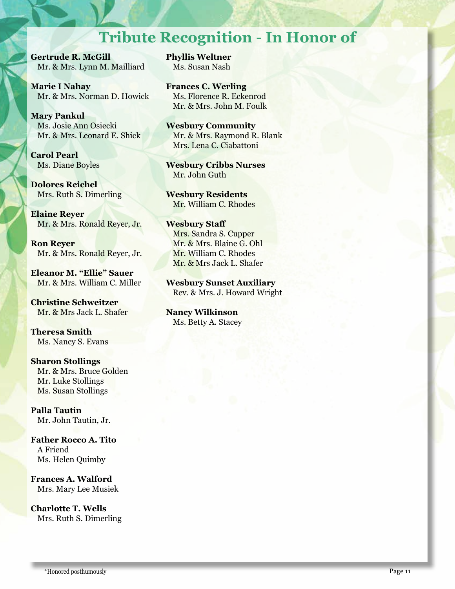# **Tribute Recognition - In Honor of**

**Gertrude R. McGill** Mr. & Mrs. Lynn M. Mailliard

**Marie I Nahay** Mr. & Mrs. Norman D. Howick

**Mary Pankul** Ms. Josie Ann Osiecki Mr. & Mrs. Leonard E. Shick

**Carol Pearl** Ms. Diane Boyles

**Dolores Reichel** Mrs. Ruth S. Dimerling

**Elaine Reyer** Mr. & Mrs. Ronald Reyer, Jr.

**Ron Reyer** Mr. & Mrs. Ronald Reyer, Jr.

**Eleanor M. "Ellie" Sauer** Mr. & Mrs. William C. Miller

**Christine Schweitzer** Mr. & Mrs Jack L. Shafer

**Theresa Smith** Ms. Nancy S. Evans

**Sharon Stollings** Mr. & Mrs. Bruce Golden Mr. Luke Stollings Ms. Susan Stollings

**Palla Tautin** Mr. John Tautin, Jr.

**Father Rocco A. Tito** A Friend Ms. Helen Quimby

**Frances A. Walford** Mrs. Mary Lee Musiek

**Charlotte T. Wells** Mrs. Ruth S. Dimerling **Phyllis Weltner** Ms. Susan Nash

**Frances C. Werling** Ms. Florence R. Eckenrod Mr. & Mrs. John M. Foulk

**Wesbury Community** Mr. & Mrs. Raymond R. Blank Mrs. Lena C. Ciabattoni

**Wesbury Cribbs Nurses** Mr. John Guth

**Wesbury Residents** Mr. William C. Rhodes

**Wesbury Staff** Mrs. Sandra S. Cupper Mr. & Mrs. Blaine G. Ohl Mr. William C. Rhodes Mr. & Mrs Jack L. Shafer

**Wesbury Sunset Auxiliary** Rev. & Mrs. J. Howard Wright

**Nancy Wilkinson** Ms. Betty A. Stacey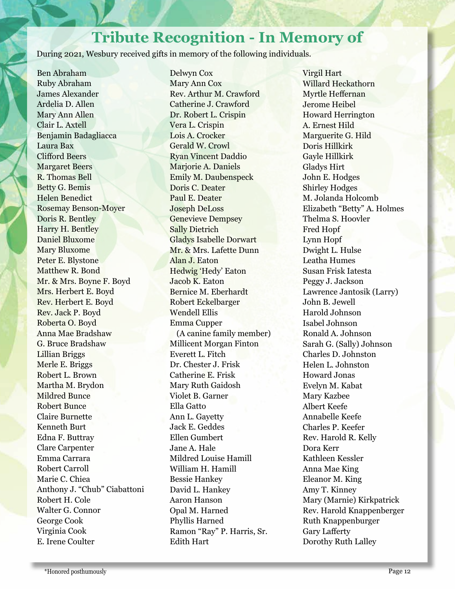## **Tribute Recognition - In Memory of**

During 2021, Wesbury received gifts in memory of the following individuals.

Ben Abraham Ruby Abraham James Alexander Ardelia D. Allen Mary Ann Allen Clair L. Axtell Benjamin Badagliacca Laura Bax Clifford Beers Margaret Beers R. Thomas Bell Betty G. Bemis Helen Benedict Rosemay Benson-Moyer Doris R. Bentley Harry H. Bentley Daniel Bluxome Mary Bluxome Peter E. Blystone Matthew R. Bond Mr. & Mrs. Boyne F. Boyd Mrs. Herbert E. Boyd Rev. Herbert E. Boyd Rev. Jack P. Boyd Roberta O. Boyd Anna Mae Bradshaw G. Bruce Bradshaw Lillian Briggs Merle E. Briggs Robert L. Brown Martha M. Brydon Mildred Bunce Robert Bunce Claire Burnette Kenneth Burt Edna F. Buttray Clare Carpenter Emma Carrara Robert Carroll Marie C. Chiea Anthony J. "Chub" Ciabattoni Robert H. Cole Walter G. Connor George Cook Virginia Cook E. Irene Coulter

Delwyn Cox Mary Ann Cox Rev. Arthur M. Crawford Catherine J. Crawford Dr. Robert L. Crispin Vera L. Crispin Lois A. Crocker Gerald W. Crowl Ryan Vincent Daddio Marjorie A. Daniels Emily M. Daubenspeck Doris C. Deater Paul E. Deater Joseph DeLoss Genevieve Dempsey Sally Dietrich Gladys Isabelle Dorwart Mr. & Mrs. Lafette Dunn Alan J. Eaton Hedwig 'Hedy' Eaton Jacob K. Eaton Bernice M. Eberhardt Robert Eckelbarger Wendell Ellis Emma Cupper (A canine family member) Millicent Morgan Finton Everett L. Fitch Dr. Chester J. Frisk Catherine E. Frisk Mary Ruth Gaidosh Violet B. Garner Ella Gatto Ann L. Gayetty Jack E. Geddes Ellen Gumbert Jane A. Hale Mildred Louise Hamill William H. Hamill Bessie Hankey David L. Hankey Aaron Hanson Opal M. Harned Phyllis Harned Ramon "Ray" P. Harris, Sr. Edith Hart

Virgil Hart Willard Heckathorn Myrtle Heffernan Jerome Heibel Howard Herrington A. Ernest Hild Marguerite G. Hild Doris Hillkirk Gayle Hillkirk Gladys Hirt John E. Hodges Shirley Hodges M. Jolanda Holcomb Elizabeth "Betty" A. Holmes Thelma S. Hoovler Fred Hopf Lynn Hopf Dwight L. Hulse Leatha Humes Susan Frisk Iatesta Peggy J. Jackson Lawrence Jantosik (Larry) John B. Jewell Harold Johnson Isabel Johnson Ronald A. Johnson Sarah G. (Sally) Johnson Charles D. Johnston Helen L. Johnston Howard Jonas Evelyn M. Kabat Mary Kazbee Albert Keefe Annabelle Keefe Charles P. Keefer Rev. Harold R. Kelly Dora Kerr Kathleen Kessler Anna Mae King Eleanor M. King Amy T. Kinney Mary (Marnie) Kirkpatrick Rev. Harold Knappenberger Ruth Knappenburger Gary Lafferty Dorothy Ruth Lalley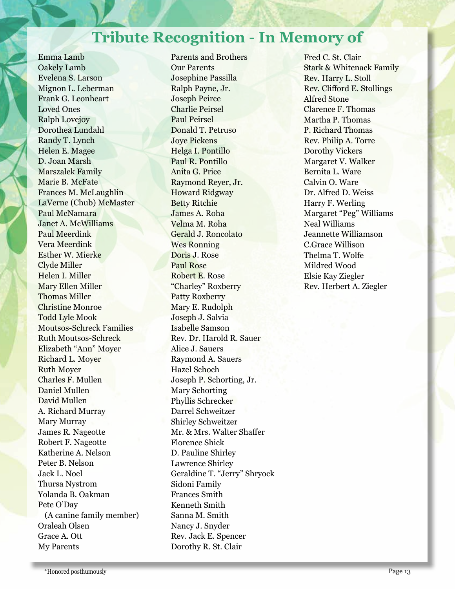## **Tribute Recognition - In Memory of**

Emma Lamb Oakely Lamb Evelena S. Larson Mignon L. Leberman Frank G. Leonheart Loved Ones Ralph Lovejoy Dorothea Lundahl Randy T. Lynch Helen E. Magee D. Joan Marsh Marszalek Family Marie B. McFate Frances M. McLaughlin LaVerne (Chub) McMaster Paul McNamara Janet A. McWilliams Paul Meerdink Vera Meerdink Esther W. Mierke Clyde Miller Helen I. Miller Mary Ellen Miller Thomas Miller Christine Monroe Todd Lyle Mook Moutsos-Schreck Families Ruth Moutsos-Schreck Elizabeth "Ann" Moyer Richard L. Moyer Ruth Moyer Charles F. Mullen Daniel Mullen David Mullen A. Richard Murray Mary Murray James R. Nageotte Robert F. Nageotte Katherine A. Nelson Peter B. Nelson Jack L. Noel Thursa Nystrom Yolanda B. Oakman Pete O'Day (A canine family member) Oraleah Olsen Grace A. Ott My Parents

Parents and Brothers Our Parents Josephine Passilla Ralph Payne, Jr. Joseph Peirce Charlie Peirsel Paul Peirsel Donald T. Petruso Joye Pickens Helga I. Pontillo Paul R. Pontillo Anita G. Price Raymond Reyer, Jr. Howard Ridgway Betty Ritchie James A. Roha Velma M. Roha Gerald J. Roncolato Wes Ronning Doris J. Rose Paul Rose Robert E. Rose "Charley" Roxberry Patty Roxberry Mary E. Rudolph Joseph J. Salvia Isabelle Samson Rev. Dr. Harold R. Sauer Alice J. Sauers Raymond A. Sauers Hazel Schoch Joseph P. Schorting, Jr. Mary Schorting Phyllis Schrecker Darrel Schweitzer Shirley Schweitzer Mr. & Mrs. Walter Shaffer Florence Shick D. Pauline Shirley Lawrence Shirley Geraldine T. "Jerry" Shryock Sidoni Family Frances Smith Kenneth Smith Sanna M. Smith Nancy J. Snyder Rev. Jack E. Spencer Dorothy R. St. Clair

Fred C. St. Clair Stark & Whitenack Family Rev. Harry L. Stoll Rev. Clifford E. Stollings Alfred Stone Clarence F. Thomas Martha P. Thomas P. Richard Thomas Rev. Philip A. Torre Dorothy Vickers Margaret V. Walker Bernita L. Ware Calvin O. Ware Dr. Alfred D. Weiss Harry F. Werling Margaret "Peg" Williams Neal Williams Jeannette Williamson C.Grace Willison Thelma T. Wolfe Mildred Wood Elsie Kay Ziegler Rev. Herbert A. Ziegler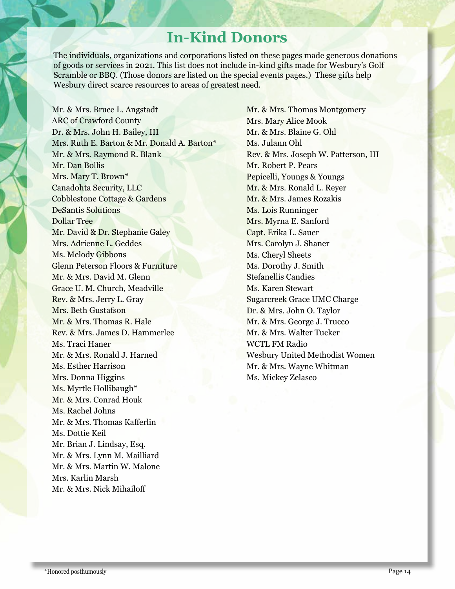## **In-Kind Donors**

The individuals, organizations and corporations listed on these pages made generous donations of goods or services in 2021. This list does not include in-kind gifts made for Wesbury's Golf Scramble or BBQ. (Those donors are listed on the special events pages.) These gifts help Wesbury direct scarce resources to areas of greatest need.

Mr. & Mrs. Bruce L. Angstadt ARC of Crawford County Dr. & Mrs. John H. Bailey, III Mrs. Ruth E. Barton & Mr. Donald A. Barton\* Mr. & Mrs. Raymond R. Blank Mr. Dan Bollis Mrs. Mary T. Brown\* Canadohta Security, LLC Cobblestone Cottage & Gardens DeSantis Solutions Dollar Tree Mr. David & Dr. Stephanie Galey Mrs. Adrienne L. Geddes Ms. Melody Gibbons Glenn Peterson Floors & Furniture Mr. & Mrs. David M. Glenn Grace U. M. Church, Meadville Rev. & Mrs. Jerry L. Gray Mrs. Beth Gustafson Mr. & Mrs. Thomas R. Hale Rev. & Mrs. James D. Hammerlee Ms. Traci Haner Mr. & Mrs. Ronald J. Harned Ms. Esther Harrison Mrs. Donna Higgins Ms. Myrtle Hollibaugh\* Mr. & Mrs. Conrad Houk Ms. Rachel Johns Mr. & Mrs. Thomas Kafferlin Ms. Dottie Keil Mr. Brian J. Lindsay, Esq. Mr. & Mrs. Lynn M. Mailliard Mr. & Mrs. Martin W. Malone Mrs. Karlin Marsh Mr. & Mrs. Nick Mihailoff

Mr. & Mrs. Thomas Montgomery Mrs. Mary Alice Mook Mr. & Mrs. Blaine G. Ohl Ms. Julann Ohl Rev. & Mrs. Joseph W. Patterson, III Mr. Robert P. Pears Pepicelli, Youngs & Youngs Mr. & Mrs. Ronald L. Reyer Mr. & Mrs. James Rozakis Ms. Lois Runninger Mrs. Myrna E. Sanford Capt. Erika L. Sauer Mrs. Carolyn J. Shaner Ms. Cheryl Sheets Ms. Dorothy J. Smith Stefanellis Candies Ms. Karen Stewart Sugarcreek Grace UMC Charge Dr. & Mrs. John O. Taylor Mr. & Mrs. George J. Trucco Mr. & Mrs. Walter Tucker WCTL FM Radio Wesbury United Methodist Women Mr. & Mrs. Wayne Whitman Ms. Mickey Zelasco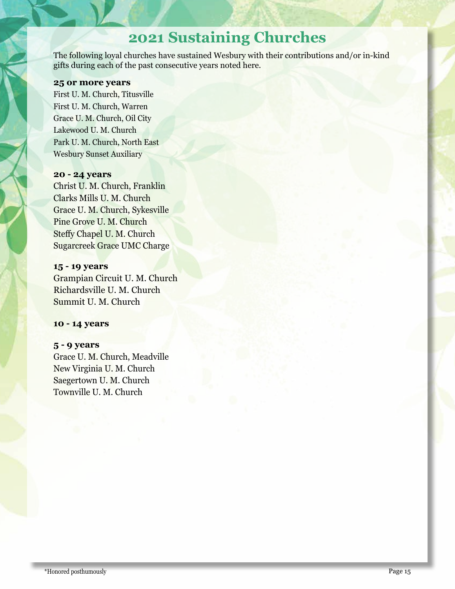# **2021 Sustaining Churches**

The following loyal churches have sustained Wesbury with their contributions and/or in-kind gifts during each of the past consecutive years noted here.

#### **25 or more years**

First U. M. Church, Titusville First U. M. Church, Warren Grace U. M. Church, Oil City Lakewood U. M. Church Park U. M. Church, North East Wesbury Sunset Auxiliary

#### **20 - 24 years**

Christ U. M. Church, Franklin Clarks Mills U. M. Church Grace U. M. Church, Sykesville Pine Grove U. M. Church Steffy Chapel U. M. Church Sugarcreek Grace UMC Charge

#### **15 - 19 years**

Grampian Circuit U. M. Church Richardsville U. M. Church Summit U. M. Church

#### **10 - 14 years**

#### **5 - 9 years**

Grace U. M. Church, Meadville New Virginia U. M. Church Saegertown U. M. Church Townville U. M. Church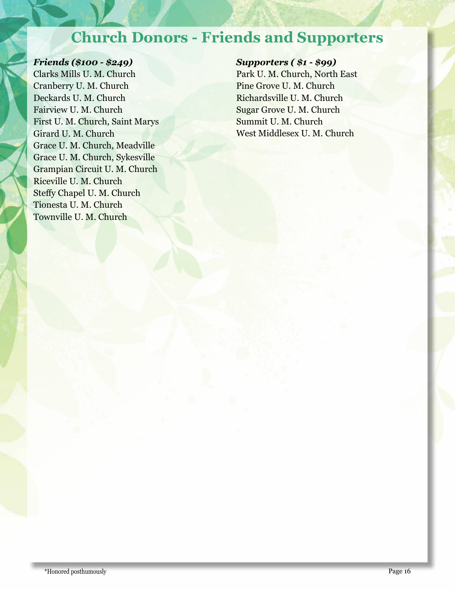# **Church Donors - Friends and Supporters**

### *Friends (\$100 - \$249)*

Clarks Mills U. M. Church Cranberry U. M. Church Deckards U. M. Church Fairview U. M. Church First U. M. Church, Saint Marys Girard U. M. Church Grace U. M. Church, Meadville Grace U. M. Church, Sykesville Grampian Circuit U. M. Church Riceville U. M. Church Steffy Chapel U. M. Church Tionesta U. M. Church Townville U. M. Church

*Supporters ( \$1 - \$99)*

Park U. M. Church, North East Pine Grove U. M. Church Richardsville U. M. Church Sugar Grove U. M. Church Summit U. M. Church West Middlesex U. M. Church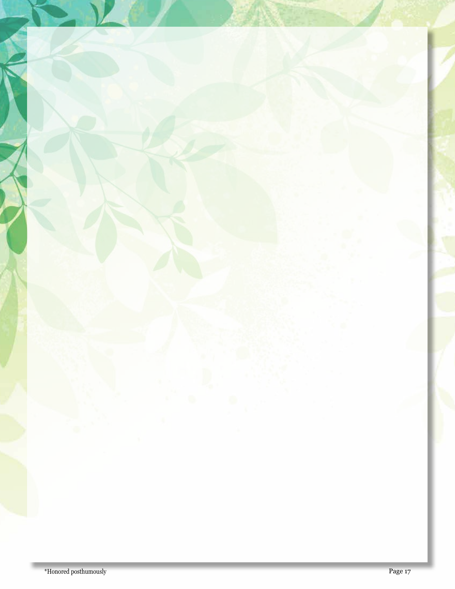